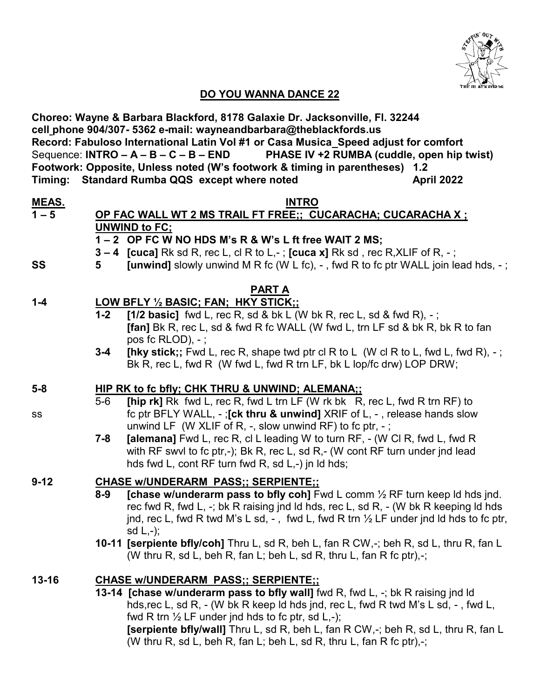

# **DO YOU WANNA DANCE 22**

| Choreo: Wayne & Barbara Blackford, 8178 Galaxie Dr. Jacksonville, Fl. 32244                                                                              |                                                                                 |                                                                                                                                                                                         |            |  |
|----------------------------------------------------------------------------------------------------------------------------------------------------------|---------------------------------------------------------------------------------|-----------------------------------------------------------------------------------------------------------------------------------------------------------------------------------------|------------|--|
| cell_phone 904/307- 5362 e-mail: wayneandbarbara@theblackfords.us<br>Record: Fabuloso International Latin Vol #1 or Casa Musica_Speed adjust for comfort |                                                                                 |                                                                                                                                                                                         |            |  |
| PHASE IV +2 RUMBA (cuddle, open hip twist)<br>Sequence: INTRO $- A - B - C - B - END$                                                                    |                                                                                 |                                                                                                                                                                                         |            |  |
| Footwork: Opposite, Unless noted (W's footwork & timing in parentheses)<br>1.2                                                                           |                                                                                 |                                                                                                                                                                                         |            |  |
|                                                                                                                                                          |                                                                                 | Timing: Standard Rumba QQS except where noted                                                                                                                                           | April 2022 |  |
|                                                                                                                                                          |                                                                                 |                                                                                                                                                                                         |            |  |
| <u>MEAS.</u><br>1 – 5                                                                                                                                    |                                                                                 | <b>INTRO</b><br>OP FAC WALL WT 2 MS TRAIL FT FREE;; CUCARACHA; CUCARACHA X;                                                                                                             |            |  |
|                                                                                                                                                          |                                                                                 | UNWIND to FC;                                                                                                                                                                           |            |  |
|                                                                                                                                                          |                                                                                 | 1-2 OP FC W NO HDS M's R & W's L ft free WAIT 2 MS;                                                                                                                                     |            |  |
|                                                                                                                                                          |                                                                                 | $3-4$ [cuca] Rk sd R, rec L, cl R to L,-; [cuca x] Rk sd, rec R, XLIF of R, -;                                                                                                          |            |  |
| SS                                                                                                                                                       | 5                                                                               | <b>[unwind]</b> slowly unwind M R fc (W L fc), $-$ , fwd R to fc ptr WALL join lead hds, $-$ ;                                                                                          |            |  |
|                                                                                                                                                          |                                                                                 |                                                                                                                                                                                         |            |  |
| <b>PART A</b>                                                                                                                                            |                                                                                 |                                                                                                                                                                                         |            |  |
| $1 - 4$                                                                                                                                                  |                                                                                 | LOW BFLY 1/2 BASIC; FAN; HKY STICK;;                                                                                                                                                    |            |  |
|                                                                                                                                                          | $1 - 2$                                                                         | [1/2 basic] fwd L, rec R, sd & bk L (W bk R, rec L, sd & fwd R), $-$ ;                                                                                                                  |            |  |
|                                                                                                                                                          |                                                                                 | [fan] Bk R, rec L, sd & fwd R fc WALL (W fwd L, trn LF sd & bk R, bk R to fan                                                                                                           |            |  |
|                                                                                                                                                          | $3 - 4$                                                                         | pos fc $RLOD$ ), $-$ ;<br>[hky stick;; Fwd L, rec R, shape twd ptr cl R to L (W cl R to L, fwd L, fwd R), -;                                                                            |            |  |
|                                                                                                                                                          |                                                                                 | Bk R, rec L, fwd R (W fwd L, fwd R trn LF, bk L lop/fc drw) LOP DRW;                                                                                                                    |            |  |
|                                                                                                                                                          |                                                                                 |                                                                                                                                                                                         |            |  |
| $5-8$                                                                                                                                                    |                                                                                 | <b>HIP RK to fc bfly; CHK THRU &amp; UNWIND; ALEMANA;;</b>                                                                                                                              |            |  |
|                                                                                                                                                          | $5-6$                                                                           | [hip rk] Rk fwd L, rec R, fwd L trn LF (W rk bk R, rec L, fwd R trn RF) to                                                                                                              |            |  |
| SS                                                                                                                                                       |                                                                                 | fc ptr BFLY WALL, -; [ck thru & unwind] XRIF of L, -, release hands slow                                                                                                                |            |  |
|                                                                                                                                                          |                                                                                 | unwind LF (W XLIF of R, $-$ , slow unwind RF) to fc ptr, $-$ ;                                                                                                                          |            |  |
|                                                                                                                                                          | $7 - 8$                                                                         | <b>[alemana]</b> Fwd L, rec R, cl L leading W to turn RF, - (W Cl R, fwd L, fwd R                                                                                                       |            |  |
|                                                                                                                                                          |                                                                                 | with RF swyl to fc ptr,-); Bk R, rec L, sd R,- (W cont RF turn under jnd lead                                                                                                           |            |  |
|                                                                                                                                                          |                                                                                 | hds fwd L, cont RF turn fwd R, sd L,-) jn ld hds;                                                                                                                                       |            |  |
| $9 - 12$                                                                                                                                                 |                                                                                 | <b>CHASE W/UNDERARM PASS;; SERPIENTE;;</b>                                                                                                                                              |            |  |
|                                                                                                                                                          | $8 - 9$                                                                         | [chase w/underarm pass to bfly coh] Fwd L comm $\frac{1}{2}$ RF turn keep Id hds jnd.                                                                                                   |            |  |
|                                                                                                                                                          |                                                                                 | rec fwd R, fwd L, -; bk R raising jnd ld hds, rec L, sd R, - (W bk R keeping ld hds<br>jnd, rec L, fwd R twd M's L sd, -, fwd L, fwd R trn $\frac{1}{2}$ LF under jnd ld hds to fc ptr, |            |  |
|                                                                                                                                                          |                                                                                 | $sd L,-);$                                                                                                                                                                              |            |  |
|                                                                                                                                                          |                                                                                 | 10-11 [serpiente bfly/coh] Thru L, sd R, beh L, fan R CW,-; beh R, sd L, thru R, fan L                                                                                                  |            |  |
|                                                                                                                                                          |                                                                                 | (W thru R, sd L, beh R, fan L; beh L, sd R, thru L, fan R fc ptr),-;                                                                                                                    |            |  |
|                                                                                                                                                          |                                                                                 |                                                                                                                                                                                         |            |  |
| $13 - 16$                                                                                                                                                | <b>CHASE W/UNDERARM PASS;; SERPIENTE;;</b>                                      |                                                                                                                                                                                         |            |  |
|                                                                                                                                                          | 13-14 [chase w/underarm pass to bfly wall] fwd R, fwd L, -; bk R raising jnd ld |                                                                                                                                                                                         |            |  |
|                                                                                                                                                          |                                                                                 | hds, rec L, sd R, - (W bk R keep ld hds jnd, rec L, fwd R twd M's L sd, -, fwd L,                                                                                                       |            |  |
|                                                                                                                                                          |                                                                                 | fwd R trn $\frac{1}{2}$ LF under jnd hds to fc ptr, sd L,-);                                                                                                                            |            |  |
|                                                                                                                                                          |                                                                                 | <b>[serpiente bfly/wall]</b> Thru L, sd R, beh L, fan R CW,-; beh R, sd L, thru R, fan L                                                                                                |            |  |
|                                                                                                                                                          |                                                                                 | (W thru R, sd L, beh R, fan L; beh L, sd R, thru L, fan R fc ptr),-;                                                                                                                    |            |  |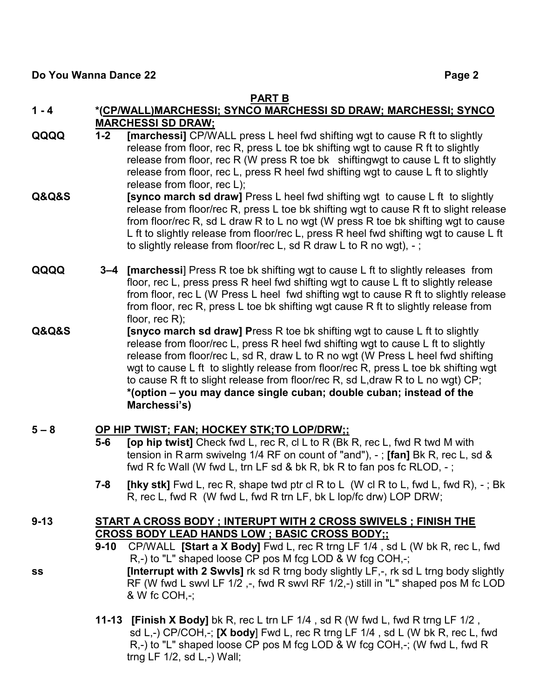#### **PART B**

- **1 - 4 \*(CP/WALL)MARCHESSI; SYNCO MARCHESSI SD DRAW; MARCHESSI; SYNCO MARCHESSI SD DRAW;**
- **QQQQ 1-2 [marchessi]** CP/WALL press L heel fwd shifting wgt to cause R ft to slightly release from floor, rec R, press L toe bk shifting wgt to cause R ft to slightly release from floor, rec R (W press R toe bk shiftingwgt to cause L ft to slightly release from floor, rec L, press R heel fwd shifting wgt to cause L ft to slightly release from floor, rec L);
- **Q&Q&S [synco march sd draw]** Press L heel fwd shifting wgt to cause L ft to slightly release from floor/rec R, press L toe bk shifting wat to cause R ft to slight release from floor/rec R, sd L draw R to L no wgt (W press R toe bk shifting wgt to cause L ft to slightly release from floor/rec L, press R heel fwd shifting wgt to cause L ft to slightly release from floor/rec L, sd R draw L to R no wgt),  $-$ ;
- **QQQQ 3–4 [marchessi**] Press R toe bk shifting wgt to cause L ft to slightly releases from floor, rec L, press press R heel fwd shifting wgt to cause L ft to slightly release from floor, rec L (W Press L heel fwd shifting wgt to cause R ft to slightly release from floor, rec R, press L toe bk shifting wgt cause R ft to slightly release from floor, rec R);
- **Q&Q&S [snyco march sd draw] P**ress R toe bk shifting wgt to cause L ft to slightly release from floor/rec L, press R heel fwd shifting wgt to cause L ft to slightly release from floor/rec L, sd R, draw L to R no wgt (W Press L heel fwd shifting wgt to cause L ft to slightly release from floor/rec R, press L toe bk shifting wgt to cause R ft to slight release from floor/rec R, sd L,draw R to L no wgt) CP; **\*(option – you may dance single cuban; double cuban; instead of the Marchessi's)**

#### **5 – 8 OP HIP TWIST; FAN; HOCKEY STK;TO LOP/DRW;;**

- **5-6 [op hip twist]** Check fwd L, rec R, cl L to R (Bk R, rec L, fwd R twd M with tension in R arm swivelng 1/4 RF on count of "and"), - ; **[fan]** Bk R, rec L, sd & fwd R fc Wall (W fwd L, trn LF sd & bk R, bk R to fan pos fc RLOD, - ;
- **7-8 [hky stk]** Fwd L, rec R, shape twd ptr cl R to L (W cl R to L, fwd L, fwd R), ; Bk R, rec L, fwd R (W fwd L, fwd R trn LF, bk L lop/fc drw) LOP DRW;

## **9-13 START A CROSS BODY ; INTERUPT WITH 2 CROSS SWIVELS ; FINISH THE CROSS BODY LEAD HANDS LOW ; BASIC CROSS BODY;;**

- **9-10** CP/WALL **[Start a X Body]** Fwd L, rec R trng LF 1/4 , sd L (W bk R, rec L, fwd R,-) to "L" shaped loose CP pos M fcg LOD & W fcg COH,-;
- **ss [Interrupt with 2 Swvls]** rk sd R trng body slightly LF,-, rk sd L trng body slightly RF (W fwd L swvl LF 1/2 ,-, fwd R swvl RF 1/2,-) still in "L" shaped pos M fc LOD & W fc COH,-;
	- **11-13 [Finish X Body]** bk R, rec L trn LF 1/4 , sd R (W fwd L, fwd R trng LF 1/2 , sd L,-) CP/COH,-; **[X body**] Fwd L, rec R trng LF 1/4 , sd L (W bk R, rec L, fwd R<sub>r</sub>-) to "L" shaped loose CP pos M fcg LOD & W fcg COH,-; (W fwd L, fwd R trng LF 1/2, sd L,-) Wall;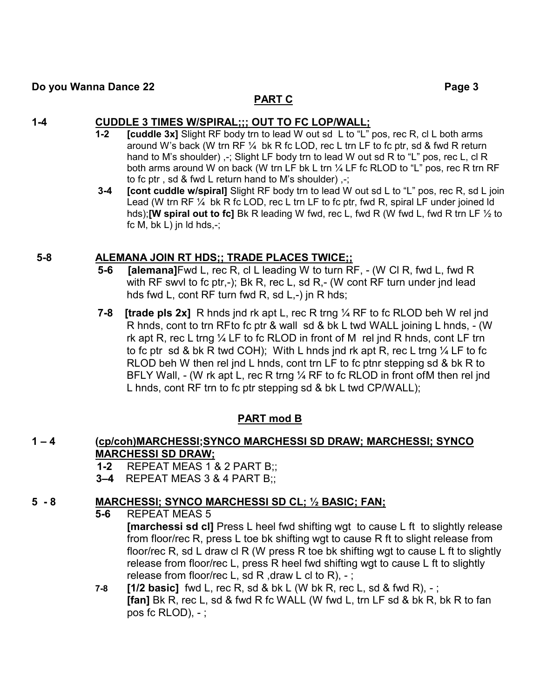## **PART C**

## **1-4 CUDDLE 3 TIMES W/SPIRAL;;; OUT TO FC LOP/WALL;**

- **1-2 [cuddle 3x]** Slight RF body trn to lead W out sd L to "L" pos, rec R, cl L both arms around W's back (W trn RF  $\frac{1}{4}$  bk R fc LOD, rec L trn LF to fc ptr, sd & fwd R return hand to M's shoulder)  $, -$ ; Slight LF body trn to lead W out sd R to "L" pos, rec L, cl R both arms around W on back (W trn LF bk L trn ¼ LF fc RLOD to "L" pos, rec R trn RF to fc ptr , sd & fwd L return hand to M's shoulder) ,-;
- **3-4 [cont cuddle w/spiral]** Slight RF body trn to lead W out sd L to "L" pos, rec R, sd L join Lead (W trn RF  $\frac{1}{4}$  bk R fc LOD, rec L trn LF to fc ptr, fwd R, spiral LF under joined ld hds);**[W spiral out to fc]** Bk R leading W fwd, rec L, fwd R (W fwd L, fwd R trn LF ½ to fc M,  $bk L$ ) in  $Id$  hds,-;

## **5-8 ALEMANA JOIN RT HDS;; TRADE PLACES TWICE;;**

- **5-6 [alemana]**Fwd L, rec R, cl L leading W to turn RF, (W Cl R, fwd L, fwd R with RF swvl to fc ptr,-); Bk R, rec L, sd R,- (W cont RF turn under jnd lead hds fwd L, cont RF turn fwd R, sd L,-) jn R hds;
- **7-8 [trade pls 2x]** R hnds jnd rk apt L, rec R trng ¼ RF to fc RLOD beh W rel jnd R hnds, cont to trn RFto fc ptr & wall sd & bk L twd WALL joining L hnds, - (W rk apt R, rec L trng  $\frac{1}{4}$  LF to fc RLOD in front of M rel jnd R hnds, cont LF trn to fc ptr sd & bk R twd COH); With L hnds jnd rk apt R, rec L trng  $\frac{1}{4}$  LF to fc RLOD beh W then rel jnd L hnds, cont trn LF to fc ptnr stepping sd & bk R to BFLY Wall, - (W rk apt L, rec R trng 1/4 RF to fc RLOD in front ofM then rel jnd L hnds, cont RF trn to fc ptr stepping sd & bk L twd CP/WALL);

# **PART mod B**

# **1 – 4 (cp/coh)MARCHESSI;SYNCO MARCHESSI SD DRAW; MARCHESSI; SYNCO MARCHESSI SD DRAW;**

- **1-2** REPEAT MEAS 1 & 2 PART B;;
- **3–4** REPEAT MEAS 3 & 4 PART B;;

# **5 - 8 MARCHESSI; SYNCO MARCHESSI SD CL; ½ BASIC; FAN;**

**5-6** REPEAT MEAS 5

**[marchessi sd cl]** Press L heel fwd shifting wgt to cause L ft to slightly release from floor/rec R, press L toe bk shifting wgt to cause R ft to slight release from floor/rec R, sd L draw cl R (W press R toe bk shifting wgt to cause L ft to slightly release from floor/rec L, press R heel fwd shifting wgt to cause L ft to slightly release from floor/rec L, sd R, draw L cl to R),  $-$ ;

**7-8 [1/2 basic]** fwd L, rec R, sd & bk L (W bk R, rec L, sd & fwd R), - ; **[fan]** Bk R, rec L, sd & fwd R fc WALL (W fwd L, trn LF sd & bk R, bk R to fan pos fc  $RLOD$ ),  $-$ ;